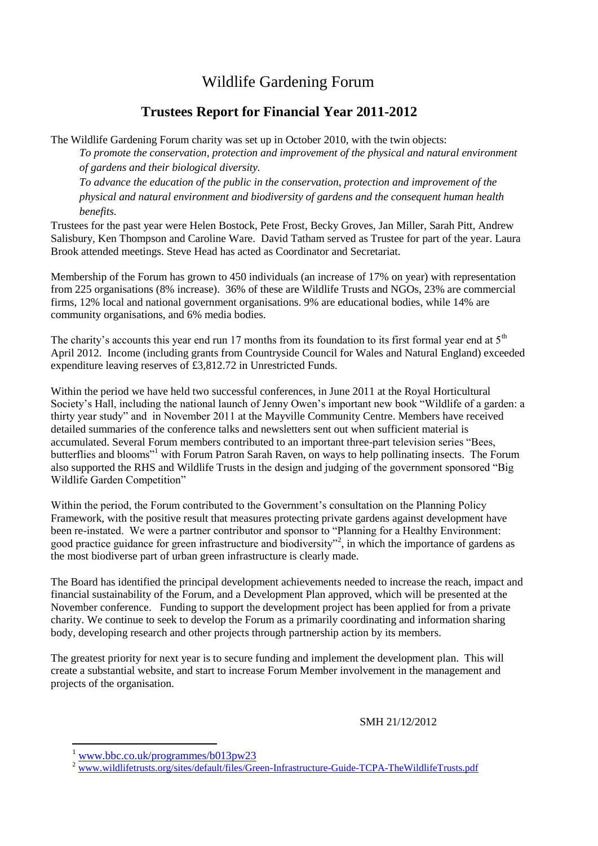### Wildlife Gardening Forum

#### **Trustees Report for Financial Year 2011-2012**

The Wildlife Gardening Forum charity was set up in October 2010, with the twin objects:

*To promote the conservation, protection and improvement of the physical and natural environment of gardens and their biological diversity.*

*To advance the education of the public in the conservation, protection and improvement of the physical and natural environment and biodiversity of gardens and the consequent human health benefits.*

Trustees for the past year were Helen Bostock, Pete Frost, Becky Groves, Jan Miller, Sarah Pitt, Andrew Salisbury, Ken Thompson and Caroline Ware. David Tatham served as Trustee for part of the year. Laura Brook attended meetings. Steve Head has acted as Coordinator and Secretariat.

Membership of the Forum has grown to 450 individuals (an increase of 17% on year) with representation from 225 organisations (8% increase). 36% of these are Wildlife Trusts and NGOs, 23% are commercial firms, 12% local and national government organisations. 9% are educational bodies, while 14% are community organisations, and 6% media bodies.

The charity's accounts this year end run 17 months from its foundation to its first formal year end at  $5<sup>th</sup>$ April 2012. Income (including grants from Countryside Council for Wales and Natural England) exceeded expenditure leaving reserves of £3,812.72 in Unrestricted Funds.

Within the period we have held two successful conferences, in June 2011 at the Royal Horticultural Society's Hall, including the national launch of Jenny Owen's important new book "Wildlife of a garden: a thirty year study" and in November 2011 at the Mayville Community Centre. Members have received detailed summaries of the conference talks and newsletters sent out when sufficient material is accumulated. Several Forum members contributed to an important three-part television series "Bees, butterflies and blooms<sup>"1</sup> with Forum Patron Sarah Raven, on ways to help pollinating insects. The Forum also supported the RHS and Wildlife Trusts in the design and judging of the government sponsored "Big Wildlife Garden Competition"

Within the period, the Forum contributed to the Government's consultation on the Planning Policy Framework, with the positive result that measures protecting private gardens against development have been re-instated. We were a partner contributor and sponsor to "Planning for a Healthy Environment: good practice guidance for green infrastructure and biodiversity"<sup>2</sup>, in which the importance of gardens as the most biodiverse part of urban green infrastructure is clearly made.

The Board has identified the principal development achievements needed to increase the reach, impact and financial sustainability of the Forum, and a Development Plan approved, which will be presented at the November conference. Funding to support the development project has been applied for from a private charity. We continue to seek to develop the Forum as a primarily coordinating and information sharing body, developing research and other projects through partnership action by its members.

The greatest priority for next year is to secure funding and implement the development plan. This will create a substantial website, and start to increase Forum Member involvement in the management and projects of the organisation.

SMH 21/12/2012

**.** 

[www.bbc.co.uk/programmes/b013pw23](http://www.bbc.co.uk/programmes/b013pw23)

[www.wildlifetrusts.org/sites/default/files/Green-Infrastructure-Guide-TCPA-TheWildlifeTrusts.pdf](http://www.wildlifetrusts.org/sites/default/files/Green-Infrastructure-Guide-TCPA-TheWildlifeTrusts.pdf)